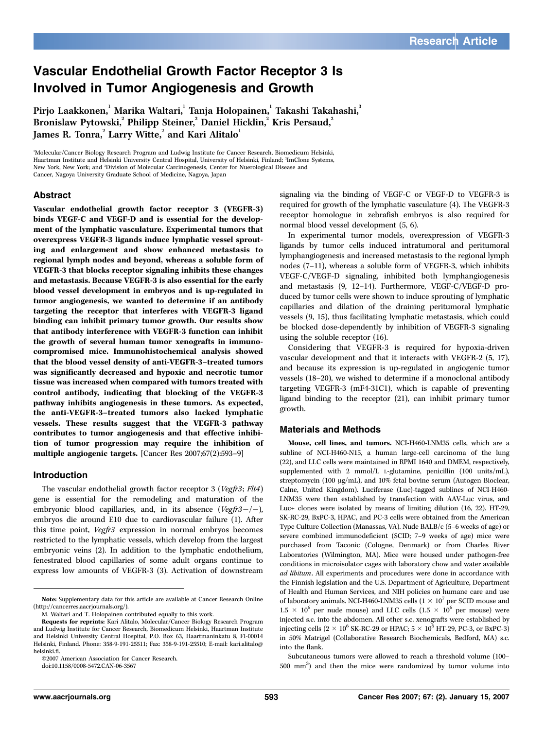# Vascular Endothelial Growth Factor Receptor 3 Is Involved in Tumor Angiogenesis and Growth

Pirio Laakkonen, Marika Waltari, Tania Holopainen, Takashi Takahashi, 3 Bronislaw Pytowski,<sup>2</sup> Philipp Steiner,<sup>2</sup> Daniel Hicklin,<sup>2</sup> Kris Persaud,<sup>2</sup>  $\sum_{n=1}^{\infty}$  Jannes R. Tonra,  $\sum_{n=1}^{\infty}$  Larry Witte,  $\sum_{n=1}^{\infty}$  and Kari Alitalo<sup>1</sup>

1 Molecular/Cancer Biology Research Program and Ludwig Institute for Cancer Research, Biomedicum Helsinki, Haartman Institute and Helsinki University Central Hospital, University of Helsinki, Finland; <sup>2</sup>ImClone Systems, New York, New York; and <sup>3</sup> Division of Molecular Carcinogenesis, Center for Nuerological Disease and Cancer, Nagoya University Graduate School of Medicine, Nagoya, Japan

## Abstract

Vascular endothelial growth factor receptor 3 (VEGFR-3) binds VEGF-C and VEGF-D and is essential for the development of the lymphatic vasculature. Experimental tumors that overexpress VEGFR-3 ligands induce lymphatic vessel sprouting and enlargement and show enhanced metastasis to regional lymph nodes and beyond, whereas a soluble form of VEGFR-3 that blocks receptor signaling inhibits these changes and metastasis. Because VEGFR-3 is also essential for the early blood vessel development in embryos and is up-regulated in tumor angiogenesis, we wanted to determine if an antibody targeting the receptor that interferes with VEGFR-3 ligand binding can inhibit primary tumor growth. Our results show that antibody interference with VEGFR-3 function can inhibit the growth of several human tumor xenografts in immunocompromised mice. Immunohistochemical analysis showed that the blood vessel densityof anti-VEGFR-3–treated tumors was significantly decreased and hypoxic and necrotic tumor tissue was increased when compared with tumors treated with control antibody, indicating that blocking of the VEGFR-3 pathway inhibits angiogenesis in these tumors. As expected, the anti-VEGFR-3–treated tumors also lacked lymphatic vessels. These results suggest that the VEGFR-3 pathway contributes to tumor angiogenesis and that effective inhibition of tumor progression may require the inhibition of multiple angiogenic targets. [Cancer Res 2007;67(2):593–9]

## Introduction

The vascular endothelial growth factor receptor 3 (Vegfr3; Flt4) gene is essential for the remodeling and maturation of the embryonic blood capillaries, and, in its absence ( $Vegfr3-/-$ ), embryos die around E10 due to cardiovascular failure (1). After this time point, Vegfr3 expression in normal embryos becomes restricted to the lymphatic vessels, which develop from the largest embryonic veins (2). In addition to the lymphatic endothelium, fenestrated blood capillaries of some adult organs continue to express low amounts of VEGFR-3 (3). Activation of downstream

©2007 American Association for Cancer Research.

doi:10.1158/0008-5472.CAN-06-3567

signaling via the binding of VEGF-C or VEGF-D to VEGFR-3 is required for growth of the lymphatic vasculature (4). The VEGFR-3 receptor homologue in zebrafish embryos is also required for normal blood vessel development (5, 6).

In experimental tumor models, overexpression of VEGFR-3 ligands by tumor cells induced intratumoral and peritumoral lymphangiogenesis and increased metastasis to the regional lymph nodes (7–11), whereas a soluble form of VEGFR-3, which inhibits VEGF-C/VEGF-D signaling, inhibited both lymphangiogenesis and metastasis (9, 12–14). Furthermore, VEGF-C/VEGF-D produced by tumor cells were shown to induce sprouting of lymphatic capillaries and dilation of the draining peritumoral lymphatic vessels (9, 15), thus facilitating lymphatic metastasis, which could be blocked dose-dependently by inhibition of VEGFR-3 signaling using the soluble receptor (16).

Considering that VEGFR-3 is required for hypoxia-driven vascular development and that it interacts with VEGFR-2 (5, 17), and because its expression is up-regulated in angiogenic tumor vessels (18–20), we wished to determine if a monoclonal antibody targeting VEGFR-3 (mF4-31C1), which is capable of preventing ligand binding to the receptor (21), can inhibit primary tumor growth.

## Materials and Methods

Mouse, cell lines, and tumors. NCI-H460-LNM35 cells, which are a subline of NCI-H460-N15, a human large-cell carcinoma of the lung (22), and LLC cells were maintained in RPMI 1640 and DMEM, respectively, supplemented with 2 mmol/L L-glutamine, penicillin (100 units/mL), streptomycin (100 µg/mL), and 10% fetal bovine serum (Autogen Bioclear, Calne, United Kingdom). Luciferase (Luc)-tagged sublines of NCI-H460- LNM35 were then established by transfection with AAV-Luc virus, and Luc+ clones were isolated by means of limiting dilution (16, 22). HT-29, SK-RC-29, BxPC-3, HPAC, and PC-3 cells were obtained from the American Type Culture Collection (Manassas, VA). Nude BALB/c (5–6 weeks of age) or severe combined immunodeficient (SCID; 7–9 weeks of age) mice were purchased from Taconic (Cologne, Denmark) or from Charles River Laboratories (Wilmington, MA). Mice were housed under pathogen-free conditions in microisolator cages with laboratory chow and water available ad libitum. All experiments and procedures were done in accordance with the Finnish legislation and the U.S. Department of Agriculture, Department of Health and Human Services, and NIH policies on humane care and use of laboratory animals. NCI-H460-LNM35 cells (1  $\times$   $10^7$  per SCID mouse and  $1.5 \times 10^6$  per nude mouse) and LLC cells  $(1.5 \times 10^6$  per mouse) were injected s.c. into the abdomen. All other s.c. xenografts were established by injecting cells ( $2 \times 10^6$  SK-RC-29 or HPAC;  $5 \times 10^6$  HT-29, PC-3, or BxPC-3) in 50% Matrigel (Collaborative Research Biochemicals, Bedford, MA) s.c. into the flank.

Subcutaneous tumors were allowed to reach a threshold volume (100– 500 mm3 ) and then the mice were randomized by tumor volume into

Note: Supplementary data for this article are available at Cancer Research Online (http://cancerres.aacrjournals.org/).

M. Waltari and T. Holopainen contributed equally to this work.

Requests for reprints: Kari Alitalo, Molecular/Cancer Biology Research Program and Ludwig Institute for Cancer Research, Biomedicum Helsinki, Haartman Institute and Helsinki University Central Hospital, P.O. Box 63, Haartmaninkatu 8, FI-00014 Helsinki, Finland. Phone: 358-9-191-25511; Fax: 358-9-191-25510; E-mail: kari.alitalo@ helsinki.fi.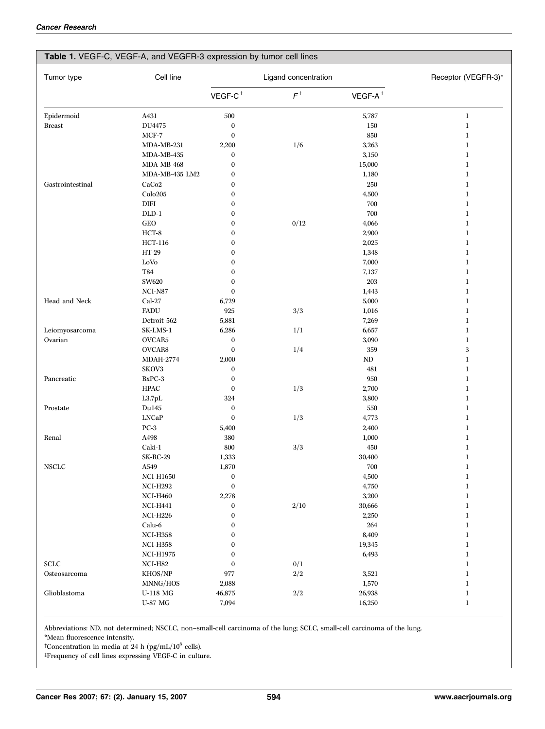# Table 1. VEGF-C, VEGF-A, and VEGFR-3 expression by tumor cell lines

| Tumor type       | Cell line             | Ligand concentration |                |                       | Receptor (VEGFR-3)* |
|------------------|-----------------------|----------------------|----------------|-----------------------|---------------------|
|                  |                       | $VEGF-C^{\dagger}$   | $F^{\ddagger}$ | $VEGF-A$ <sup>†</sup> |                     |
| Epidermoid       | A431                  | 500                  |                | 5,787                 | $\bf{l}$            |
| <b>Breast</b>    | DU4475                | $\boldsymbol{0}$     |                | $150\,$               | $\bf{l}$            |
|                  | $MCF-7$               | $\boldsymbol{0}$     |                | 850                   | $\bf{l}$            |
|                  | MDA-MB-231            | 2,200                | 1/6            | 3,263                 | $\bf{l}$            |
|                  | MDA-MB-435            | $\boldsymbol{0}$     |                | 3,150                 | $\bf{l}$            |
|                  | MDA-MB-468            | $\boldsymbol{0}$     |                | 15,000                | $\bf{l}$            |
|                  | MDA-MB-435 LM2        | $\boldsymbol{0}$     |                | 1,180                 | $\bf{l}$            |
| Gastrointestinal | CaCo <sub>2</sub>     | $\boldsymbol{0}$     |                | 250                   | $\bf{l}$            |
|                  | Colo205               | $\boldsymbol{0}$     |                | 4,500                 | $\bf{l}$            |
|                  | <b>DIFI</b>           | $\boldsymbol{0}$     |                | 700                   | $\bf{l}$            |
|                  | $DLD-1$               | $\boldsymbol{0}$     |                | 700                   | $\bf{l}$            |
|                  | <b>GEO</b>            | $\boldsymbol{0}$     | $0/12$         | 4,066                 | $\bf{l}$            |
|                  | $HCT-8$               | $\boldsymbol{0}$     |                | 2,900                 | $\bf{l}$            |
|                  | <b>HCT-116</b>        | $\boldsymbol{0}$     |                | 2,025                 | $\bf{l}$            |
|                  | HT-29                 | $\boldsymbol{0}$     |                | 1,348                 | $\bf{l}$            |
|                  | LoVo                  | $\boldsymbol{0}$     |                | 7,000                 | $\bf{l}$            |
|                  | T84                   | $\boldsymbol{0}$     |                | 7,137                 | $\bf{l}$            |
|                  | SW620                 | $\boldsymbol{0}$     |                | 203                   | $\bf{l}$            |
|                  | NCI-N87               | $\boldsymbol{0}$     |                | 1,443                 | $\bf{l}$            |
| Head and Neck    | Cal-27                | 6,729                |                | 5,000                 | $\bf{l}$            |
|                  | <b>FADU</b>           | 925                  | $3/3\,$        | 1,016                 | $\bf{l}$            |
|                  | Detroit 562           | 5,881                |                | 7,269                 | $\bf{l}$            |
| Leiomyosarcoma   | SK-LMS-1              | 6,286                | 1/1            | 6,657                 | $\bf{l}$            |
| Ovarian          | OVCAR5                | $\boldsymbol{0}$     |                | 3,090                 | $\bf{l}$            |
|                  | OVCAR8                | $\bf{0}$             | 1/4            | 359                   | 3                   |
|                  | <b>MDAH-2774</b>      | 2,000                |                | $\rm ND$              | $\bf{l}$            |
|                  | SKOV3                 | $\bf{0}$             |                | 481                   | $\bf{l}$            |
| Pancreatic       | $BxPC-3$              | $\boldsymbol{0}$     |                | 950                   | 1                   |
|                  | <b>HPAC</b>           | $\boldsymbol{0}$     | $1/3\,$        | 2,700                 | 1                   |
|                  | L3.7pL                | 324                  |                | 3,800                 | $\bf{l}$            |
| Prostate         | Du145                 | $\boldsymbol{0}$     |                | 550                   | $\bf{l}$            |
|                  | <b>LNCaP</b>          | $\boldsymbol{0}$     | 1/3            | 4,773                 | $\bf{l}$            |
|                  | $PC-3$                | 5,400                |                | 2,400                 | $\bf{l}$            |
| Renal            | A498                  | 380                  |                | 1,000                 | $\bf{l}$            |
|                  | Caki-1                | 800                  | $3/3\,$        | 450                   | 1                   |
|                  | <b>SK-RC-29</b>       | 1,333                |                | 30,400                | 1                   |
| <b>NSCLC</b>     | A549                  | 1,870                |                | 700                   | 1                   |
|                  | <b>NCI-H1650</b>      | $\boldsymbol{0}$     |                | 4,500                 | $\bf{l}$            |
|                  | $\rm NCI\text{-}H292$ | $\boldsymbol{0}$     |                | 4,750                 | 1                   |
|                  | <b>NCI-H460</b>       | 2,278                |                | 3,200                 | $\bf{l}$            |
|                  | <b>NCI-H441</b>       | $\boldsymbol{0}$     | 2/10           | 30,666                | $\bf{l}$            |
|                  | <b>NCI-H226</b>       | $\boldsymbol{0}$     |                | 2,250                 | $\bf{l}$            |
|                  | Calu-6                | $\boldsymbol{0}$     |                | 264                   | $\bf{l}$            |
|                  | <b>NCI-H358</b>       | $\boldsymbol{0}$     |                | 8,409                 | $\bf{l}$            |
|                  | <b>NCI-H358</b>       | $\boldsymbol{0}$     |                | 19,345                | $\bf{l}$            |
|                  | <b>NCI-H1975</b>      | 0                    |                | 6,493                 | $\bf{l}$            |
| <b>SCLC</b>      | NCI-H82               | 0                    | 0/1            |                       | $\bf{l}$            |
| Osteosarcoma     | KHOS/NP               | 977                  | $2/2\,$        | 3,521                 | $\bf{l}$            |
|                  | MNNG/HOS              | 2,088                |                | 1,570                 | $\bf{l}$            |
| Glioblastoma     | <b>U-118 MG</b>       | 46,875               | $2/2\,$        | 26,938                | $\bf{l}$            |
|                  | U-87 MG               | 7,094                |                | 16,250                | $\bf{l}$            |

Abbreviations: ND, not determined; NSCLC, non–small-cell carcinoma of the lung; SCLC, small-cell carcinoma of the lung.

\*Mean fluorescence intensity.

<sup>†</sup>Concentration in media at 24 h (pg/mL/10<sup>6</sup> cells).

 $\operatorname{\mathsf{t}Frequency}$  of cell lines expressing VEGF-C in culture.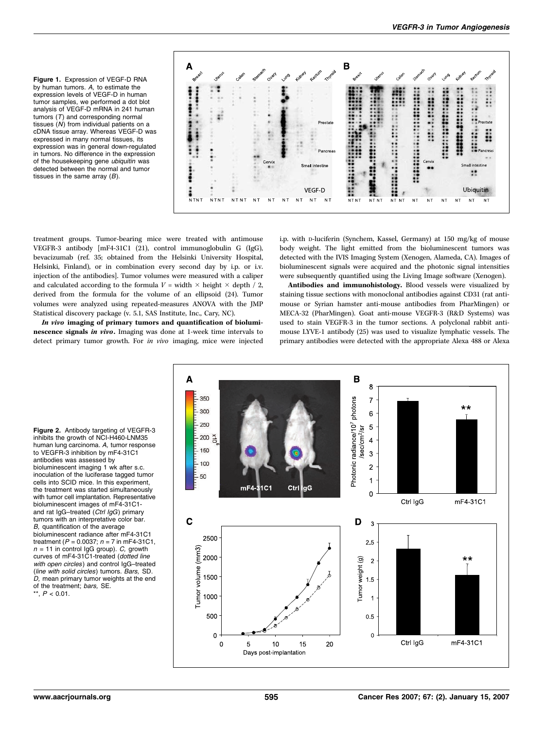Figure 1. Expression of VEGF-D RNA by human tumors. A, to estimate the expression levels of VEGF-D in human tumor samples, we performed a dot blot analysis of VEGF-D mRNA in 241 human tumors  $(T)$  and corresponding normal tissues  $(N)$  from individual patients on a cDNA tissue array. Whereas VEGF-D was expressed in many normal tissues, its expression was in general down-regulated in tumors. No difference in the expression of the housekeeping gene ubiquitin was detected between the normal and tumor tissues in the same array  $(B)$ .



treatment groups. Tumor-bearing mice were treated with antimouse VEGFR-3 antibody [mF4-31C1 (21), control immunoglobulin G (IgG), bevacizumab (ref. 35; obtained from the Helsinki University Hospital, Helsinki, Finland), or in combination every second day by i.p. or i.v. injection of the antibodies]. Tumor volumes were measured with a caliper and calculated according to the formula  $V = \text{width} \times \text{height} \times \text{depth} / 2$ , derived from the formula for the volume of an ellipsoid (24). Tumor volumes were analyzed using repeated-measures ANOVA with the JMP Statistical discovery package (v. 5.1, SAS Institute, Inc., Cary, NC).

In vivo imaging of primary tumors and quantification of bioluminescence signals in vivo. Imaging was done at 1-week time intervals to detect primary tumor growth. For in vivo imaging, mice were injected i.p. with D-luciferin (Synchem, Kassel, Germany) at 150 mg/kg of mouse body weight. The light emitted from the bioluminescent tumors was detected with the IVIS Imaging System (Xenogen, Alameda, CA). Images of bioluminescent signals were acquired and the photonic signal intensities were subsequently quantified using the Living Image software (Xenogen).

Antibodies and immunohistology. Blood vessels were visualized by staining tissue sections with monoclonal antibodies against CD31 (rat antimouse or Syrian hamster anti-mouse antibodies from PharMingen) or MECA-32 (PharMingen). Goat anti-mouse VEGFR-3 (R&D Systems) was used to stain VEGFR-3 in the tumor sections. A polyclonal rabbit antimouse LYVE-1 antibody (25) was used to visualize lymphatic vessels. The primary antibodies were detected with the appropriate Alexa 488 or Alexa

Figure 2. Antibody targeting of VEGFR-3 inhibits the growth of NCI-H460-LNM35 human lung carcinoma. A, tumor response to VEGFR-3 inhibition by mF4-31C1 antibodies was assessed by bioluminescent imaging 1 wk after s.c. inoculation of the luciferase tagged tumor cells into SCID mice. In this experiment, the treatment was started simultaneously with tumor cell implantation. Representative bioluminescent images of mF4-31C1 and rat IgG-treated (Ctrl IgG) primary tumors with an interpretative color bar. B, quantification of the average bioluminescent radiance after mF4-31C1 treatment ( $P = 0.0037$ ;  $n = 7$  in mF4-31C1,  $n = 11$  in control IgG group). C, growth curves of mF4-31C1-treated (dotted line with open circles) and control IgG-treated (line with solid circles) tumors. Bars, SD. D, mean primary tumor weights at the end of the treatment; *bars*, SE.<br>\*\*,  $P < 0.01$ .

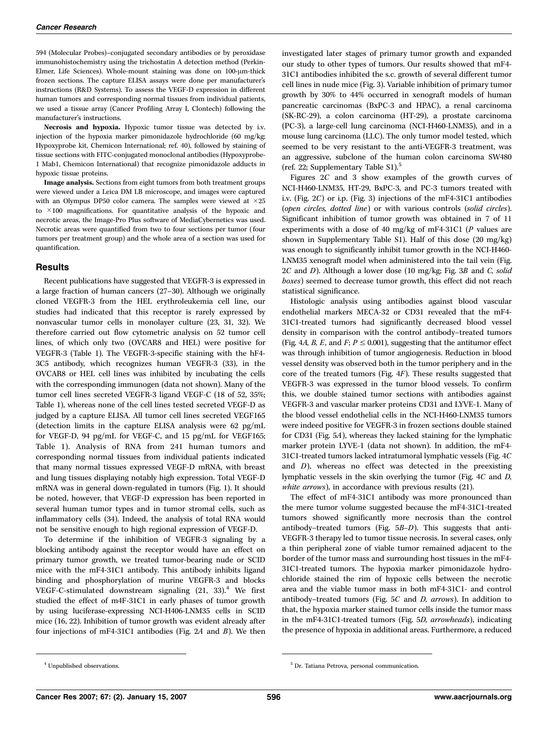594 (Molecular Probes)–conjugated secondary antibodies or by peroxidase immunohistochemistry using the trichostatin A detection method (Perkin-Elmer, Life Sciences). Whole-mount staining was done on  $100$ - $\mu$ m-thick frozen sections. The capture ELISA assays were done per manufacturer's instructions (R&D Systems). To assess the VEGF-D expression in different human tumors and corresponding normal tissues from individual patients, we used a tissue array (Cancer Profiling Array I, Clontech) following the manufacturer's instructions.

Necrosis and hypoxia. Hypoxic tumor tissue was detected by i.v. injection of the hypoxia marker pimonidazole hydrochloride (60 mg/kg; Hypoxyprobe kit, Chemicon International; ref. 40), followed by staining of tissue sections with FITC-conjugated monoclonal antibodies (Hypoxyprobe-1 Mab1, Chemicon International) that recognize pimonidazole adducts in hypoxic tissue proteins.

Image analysis. Sections from eight tumors from both treatment groups were viewed under a Leica DM LB microscope, and images were captured with an Olympus DP50 color camera. The samples were viewed at  $\times 25$ to  $\times$ 100 magnifications. For quantitative analysis of the hypoxic and necrotic areas, the Image-Pro Plus software of MediaCybernetics was used. Necrotic areas were quantified from two to four sections per tumor (four tumors per treatment group) and the whole area of a section was used for quantification.

### **Results**

Recent publications have suggested that VEGFR-3 is expressed in a large fraction of human cancers (27–30). Although we originally cloned VEGFR-3 from the HEL erythroleukemia cell line, our studies had indicated that this receptor is rarely expressed by nonvascular tumor cells in monolayer culture (23, 31, 32). We therefore carried out flow cytometric analysis on 52 tumor cell lines, of which only two (OVCAR8 and HEL) were positive for VEGFR-3 (Table 1). The VEGFR-3-specific staining with the hF4- 3C5 antibody, which recognizes human VEGFR-3 (33), in the OVCAR8 or HEL cell lines was inhibited by incubating the cells with the corresponding immunogen (data not shown). Many of the tumor cell lines secreted VEGFR-3 ligand VEGF-C (18 of 52, 35%; Table 1), whereas none of the cell lines tested secreted VEGF-D as judged by a capture ELISA. All tumor cell lines secreted VEGF165 (detection limits in the capture ELISA analysis were 62 pg/mL for VEGF-D, 94 pg/mL for VEGF-C, and 15 pg/mL for VEGF165; Table 1). Analysis of RNA from 241 human tumors and corresponding normal tissues from individual patients indicated that many normal tissues expressed VEGF-D mRNA, with breast and lung tissues displaying notably high expression. Total VEGF-D mRNA was in general down-regulated in tumors (Fig. 1). It should be noted, however, that VEGF-D expression has been reported in several human tumor types and in tumor stromal cells, such as inflammatory cells (34). Indeed, the analysis of total RNA would not be sensitive enough to high regional expression of VEGF-D.

To determine if the inhibition of VEGFR-3 signaling by a blocking antibody against the receptor would have an effect on primary tumor growth, we treated tumor-bearing nude or SCID mice with the mF4-31C1 antibody. This antibody inhibits ligand binding and phosphorylation of murine VEGFR-3 and blocks VEGF-C-stimulated downstream signaling  $(21, 33)$ .<sup>4</sup> We first studied the effect of m4F-31C1 in early phases of tumor growth by using luciferase-expressing NCI-H406-LNM35 cells in SCID mice (16, 22). Inhibition of tumor growth was evident already after four injections of mF4-31C1 antibodies (Fig. 2A and B). We then investigated later stages of primary tumor growth and expanded our study to other types of tumors. Our results showed that mF4- 31C1 antibodies inhibited the s.c. growth of several different tumor cell lines in nude mice (Fig. 3). Variable inhibition of primary tumor growth by 30% to 44% occurred in xenograft models of human pancreatic carcinomas (BxPC-3 and HPAC), a renal carcinoma (SK-RC-29), a colon carcinoma (HT-29), a prostate carcinoma (PC-3), a large-cell lung carcinoma (NCI-H460-LNM35), and in a mouse lung carcinoma (LLC). The only tumor model tested, which seemed to be very resistant to the anti-VEGFR-3 treatment, was an aggressive, subclone of the human colon carcinoma SW480 (ref. 22; Supplementary Table S1).<sup>5</sup>

Figures 2C and 3 show examples of the growth curves of NCI-H460-LNM35, HT-29, BxPC-3, and PC-3 tumors treated with i.v. (Fig. 2C) or i.p. (Fig. 3) injections of the mF4-31C1 antibodies (open circles, dotted line) or with various controls (solid circles). Significant inhibition of tumor growth was obtained in 7 of 11 experiments with a dose of 40 mg/kg of mF4-31C1 ( $P$  values are shown in Supplementary Table S1). Half of this dose (20 mg/kg) was enough to significantly inhibit tumor growth in the NCI-H460- LNM35 xenograft model when administered into the tail vein (Fig. 2C and D). Although a lower dose (10 mg/kg; Fig. 3B and C, solid boxes) seemed to decrease tumor growth, this effect did not reach statistical significance.

Histologic analysis using antibodies against blood vascular endothelial markers MECA-32 or CD31 revealed that the mF4- 31C1-treated tumors had significantly decreased blood vessel density in comparison with the control antibody–treated tumors (Fig. 4*A, B, E*, and *F*;  $P \le 0.001$ ), suggesting that the antitumor effect was through inhibition of tumor angiogenesis. Reduction in blood vessel density was observed both in the tumor periphery and in the core of the treated tumors (Fig. 4F). These results suggested that VEGFR-3 was expressed in the tumor blood vessels. To confirm this, we double stained tumor sections with antibodies against VEGFR-3 and vascular marker proteins CD31 and LYVE-1. Many of the blood vessel endothelial cells in the NCI-H460-LNM35 tumors were indeed positive for VEGFR-3 in frozen sections double stained for CD31 (Fig. 5A), whereas they lacked staining for the lymphatic marker protein LYVE-1 (data not shown). In addition, the mF4- 31C1-treated tumors lacked intratumoral lymphatic vessels (Fig. 4C and  $D$ ), whereas no effect was detected in the preexisting lymphatic vessels in the skin overlying the tumor (Fig. 4C and D, white arrows), in accordance with previous results (21).

The effect of mF4-31C1 antibody was more pronounced than the mere tumor volume suggested because the mF4-31C1-treated tumors showed significantly more necrosis than the control antibody–treated tumors (Fig. 5B–D). This suggests that anti-VEGFR-3 therapy led to tumor tissue necrosis. In several cases, only a thin peripheral zone of viable tumor remained adjacent to the border of the tumor mass and surrounding host tissues in the mF4- 31C1-treated tumors. The hypoxia marker pimonidazole hydrochloride stained the rim of hypoxic cells between the necrotic area and the viable tumor mass in both mF4-31C1- and control antibody–treated tumors (Fig. 5C and D, arrows). In addition to that, the hypoxia marker stained tumor cells inside the tumor mass in the mF4-31C1-treated tumors (Fig. 5D, arrowheads), indicating the presence of hypoxia in additional areas. Furthermore, a reduced

<sup>&</sup>lt;sup>5</sup> Dr. Tatiana Petrova, personal communication.  $^{5}$  Dr. Tatiana Petrova, personal communication.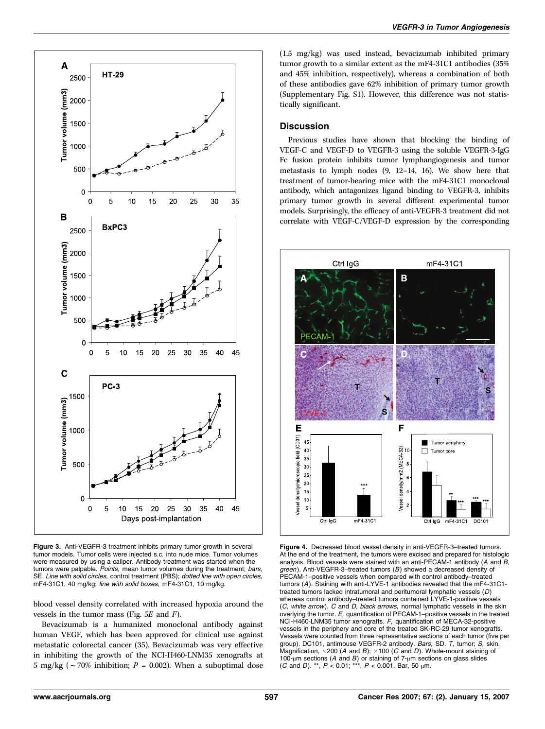

Figure 3. Anti-VEGFR-3 treatment inhibits primary tumor growth in several tumor models. Tumor cells were injected s.c. into nude mice. Tumor volumes were measured by using a caliper. Antibody treatment was started when the tumors were palpable. *Points*, mean tumor volumes during the treatment: *bars*, SE. Line with solid circles, control treatment (PBS); dotted line with open circles, mF4-31C1, 40 mg/kg; line with solid boxes, mF4-31C1, 10 mg/kg.

blood vessel density correlated with increased hypoxia around the vessels in the tumor mass (Fig. 5E and F).

Bevacizumab is a humanized monoclonal antibody against human VEGF, which has been approved for clinical use against metastatic colorectal cancer (35). Bevacizumab was very effective in inhibiting the growth of the NCI-H460-LNM35 xenografts at 5 mg/kg ( $\sim$  70% inhibition; P = 0.002). When a suboptimal dose

(1.5 mg/kg) was used instead, bevacizumab inhibited primary tumor growth to a similar extent as the mF4-31C1 antibodies (35% and 45% inhibition, respectively), whereas a combination of both of these antibodies gave 62% inhibition of primary tumor growth (Supplementary Fig. S1). However, this difference was not statistically significant.

## **Discussion**

Previous studies have shown that blocking the binding of VEGF-C and VEGF-D to VEGFR-3 using the soluble VEGFR-3-IgG Fc fusion protein inhibits tumor lymphangiogenesis and tumor metastasis to lymph nodes (9, 12–14, 16). We show here that treatment of tumor-bearing mice with the mF4-31C1 monoclonal antibody, which antagonizes ligand binding to VEGFR-3, inhibits primary tumor growth in several different experimental tumor models. Surprisingly, the efficacy of anti-VEGFR-3 treatment did not correlate with VEGF-C/VEGF-D expression by the corresponding



Figure 4. Decreased blood vessel density in anti-VEGFR-3–treated tumors. At the end of the treatment, the tumors were excised and prepared for histologic analysis. Blood vessels were stained with an anti-PECAM-1 antibody (A and B, *green*). Anti-VEGFR-3–treated tumors (*B*) showed a decreased density of<br>PECAM-1–positive vessels when compared with control antibody–treated tumors (A). Staining with anti-LYVE-1 antibodies revealed that the mF4-31C1 treated tumors lacked intratumoral and peritumoral lymphatic vessels (D) whereas control antibody–treated tumors contained LYVE-1-positive vessels (C, white arrow). C and D, black arrows, normal lymphatic vessels in the skin overlying the tumor. E, quantification of PECAM-1–positive vessels in the treated NCI-H460-LNM35 tumor xenografts. F, quantification of MECA-32-positive vessels in the periphery and core of the treated SK-RC-29 tumor xenografts. Vessels were counted from three representative sections of each tumor (five per group). DC101, antimouse VEGFR-2 antibody. Bars, SD. T, tumor; S, skin. Magnification,  $\times$  200 (A and B);  $\times$  100 (C and D). Whole-mount staining of 100- $\mu$ m sections (A and B) or staining of 7- $\mu$ m sections on glass slides (C and D). \*\*,  $P < 0.01$ ; \*\*\*,  $P < 0.001$ . Bar, 50  $\mu$ m.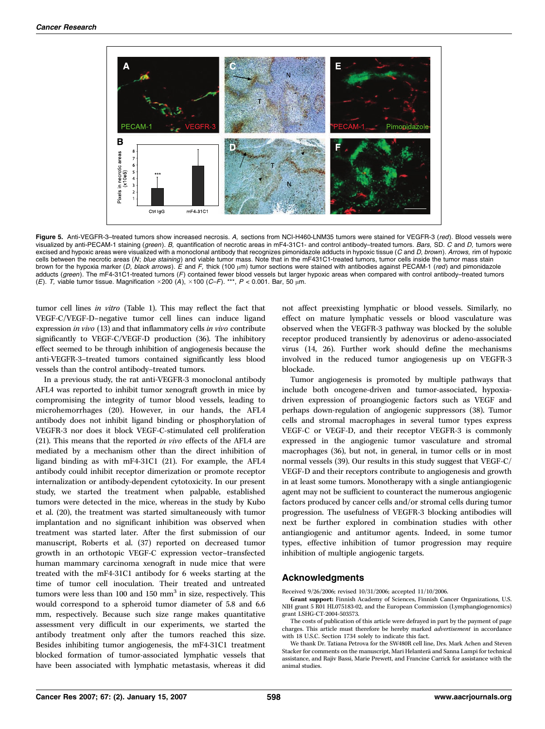

Figure 5. Anti-VEGFR-3-treated tumors show increased necrosis. A, sections from NCI-H460-LNM35 tumors were stained for VEGFR-3 (red). Blood vessels were visualized by anti-PECAM-1 staining (green). B, quantification of necrotic areas in mF4-31C1- and control antibody–treated tumors. Bars, SD. C and D, tumors were excised and hypoxic areas were visualized with a monoclonal antibody that recognizes pimonidazole adducts in hypoxic tissue (C and D, brown). Arrows, rim of hypoxic cells between the necrotic areas (N; blue staining) and viable tumor mass. Note that in the mF431C1-treated tumors, tumor cells inside the tumor mass stain brown for the hypoxia marker (D, black arrows). E and F, thick (100  $\mu$ m) tumor sections were stained with antibodies against PECAM-1 (red) and pimonidazole adducts (green). The mF4-31C1-treated tumors (F) contained fewer blood vessels but larger hypoxic areas when compared with control antibody–treated tumors (E). T, viable tumor tissue. Magnification  $\times$  200 (A),  $\times$  100 (C–F). \*\*\*, P < 0.001. Bar, 50 µm.

tumor cell lines in vitro (Table 1). This may reflect the fact that VEGF-C/VEGF-D–negative tumor cell lines can induce ligand expression in vivo (13) and that inflammatory cells in vivo contribute significantly to VEGF-C/VEGF-D production (36). The inhibitory effect seemed to be through inhibition of angiogenesis because the anti-VEGFR-3–treated tumors contained significantly less blood vessels than the control antibody–treated tumors.

In a previous study, the rat anti-VEGFR-3 monoclonal antibody AFL4 was reported to inhibit tumor xenograft growth in mice by compromising the integrity of tumor blood vessels, leading to microhemorrhages (20). However, in our hands, the AFL4 antibody does not inhibit ligand binding or phosphorylation of VEGFR-3 nor does it block VEGF-C-stimulated cell proliferation (21). This means that the reported in vivo effects of the AFL4 are mediated by a mechanism other than the direct inhibition of ligand binding as with mF4-31C1 (21). For example, the AFL4 antibody could inhibit receptor dimerization or promote receptor internalization or antibody-dependent cytotoxicity. In our present study, we started the treatment when palpable, established tumors were detected in the mice, whereas in the study by Kubo et al. (20), the treatment was started simultaneously with tumor implantation and no significant inhibition was observed when treatment was started later. After the first submission of our manuscript, Roberts et al. (37) reported on decreased tumor growth in an orthotopic VEGF-C expression vector–transfected human mammary carcinoma xenograft in nude mice that were treated with the mF4-31C1 antibody for 6 weeks starting at the time of tumor cell inoculation. Their treated and untreated tumors were less than 100 and 150  $mm<sup>3</sup>$  in size, respectively. This would correspond to a spheroid tumor diameter of 5.8 and 6.6 mm, respectively. Because such size range makes quantitative assessment very difficult in our experiments, we started the antibody treatment only after the tumors reached this size. Besides inhibiting tumor angiogenesis, the mF4-31C1 treatment blocked formation of tumor-associated lymphatic vessels that have been associated with lymphatic metastasis, whereas it did not affect preexisting lymphatic or blood vessels. Similarly, no effect on mature lymphatic vessels or blood vasculature was observed when the VEGFR-3 pathway was blocked by the soluble receptor produced transiently by adenovirus or adeno-associated virus (14, 26). Further work should define the mechanisms involved in the reduced tumor angiogenesis up on VEGFR-3 blockade.

Tumor angiogenesis is promoted by multiple pathways that include both oncogene-driven and tumor-associated, hypoxiadriven expression of proangiogenic factors such as VEGF and perhaps down-regulation of angiogenic suppressors (38). Tumor cells and stromal macrophages in several tumor types express VEGF-C or VEGF-D, and their receptor VEGFR-3 is commonly expressed in the angiogenic tumor vasculature and stromal macrophages (36), but not, in general, in tumor cells or in most normal vessels (39). Our results in this study suggest that VEGF-C/ VEGF-D and their receptors contribute to angiogenesis and growth in at least some tumors. Monotherapy with a single antiangiogenic agent may not be sufficient to counteract the numerous angiogenic factors produced by cancer cells and/or stromal cells during tumor progression. The usefulness of VEGFR-3 blocking antibodies will next be further explored in combination studies with other antiangiogenic and antitumor agents. Indeed, in some tumor types, effective inhibition of tumor progression may require inhibition of multiple angiogenic targets.

### Acknowledgments

Received 9/26/2006; revised 10/31/2006; accepted 11/10/2006.

Grant support: Finnish Academy of Sciences, Finnish Cancer Organizations, U.S. NIH grant 5 R01 HL075183-02, and the European Commission (Lymphangiogenomics) grant LSHG-CT-2004-503573.

The costs of publication of this article were defrayed in part by the payment of page charges. This article must therefore be hereby marked advertisement in accordance with 18 U.S.C. Section 1734 solely to indicate this fact.

We thank Dr. Tatiana Petrova for the SW480R cell line, Drs. Mark Achen and Steven Stacker for comments on the manuscript, Mari Helanterä and Sanna Lampi for technical assistance, and Rajiv Bassi, Marie Prewett, and Francine Carrick for assistance with the animal studies.